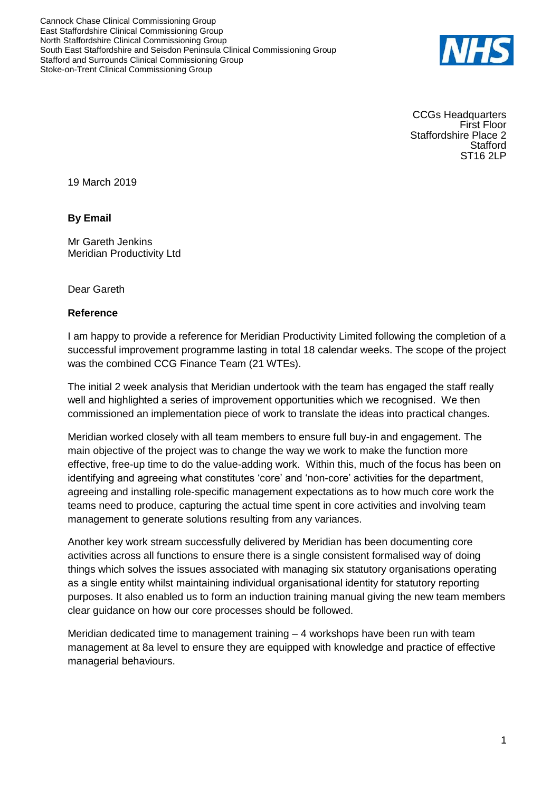Cannock Chase Clinical Commissioning Group East Staffordshire Clinical Commissioning Group North Staffordshire Clinical Commissioning Group South East Staffordshire and Seisdon Peninsula Clinical Commissioning Group Stafford and Surrounds Clinical Commissioning Group Stoke-on-Trent Clinical Commissioning Group



CCGs Headquarters First Floor Staffordshire Place 2 **Stafford** ST16 2LP

19 March 2019

## **By Email**

Mr Gareth Jenkins Meridian Productivity Ltd

Dear Gareth

## **Reference**

I am happy to provide a reference for Meridian Productivity Limited following the completion of a successful improvement programme lasting in total 18 calendar weeks. The scope of the project was the combined CCG Finance Team (21 WTEs).

The initial 2 week analysis that Meridian undertook with the team has engaged the staff really well and highlighted a series of improvement opportunities which we recognised. We then commissioned an implementation piece of work to translate the ideas into practical changes.

Meridian worked closely with all team members to ensure full buy-in and engagement. The main objective of the project was to change the way we work to make the function more effective, free-up time to do the value-adding work. Within this, much of the focus has been on identifying and agreeing what constitutes 'core' and 'non-core' activities for the department, agreeing and installing role-specific management expectations as to how much core work the teams need to produce, capturing the actual time spent in core activities and involving team management to generate solutions resulting from any variances.

Another key work stream successfully delivered by Meridian has been documenting core activities across all functions to ensure there is a single consistent formalised way of doing things which solves the issues associated with managing six statutory organisations operating as a single entity whilst maintaining individual organisational identity for statutory reporting purposes. It also enabled us to form an induction training manual giving the new team members clear guidance on how our core processes should be followed.

Meridian dedicated time to management training – 4 workshops have been run with team management at 8a level to ensure they are equipped with knowledge and practice of effective managerial behaviours.